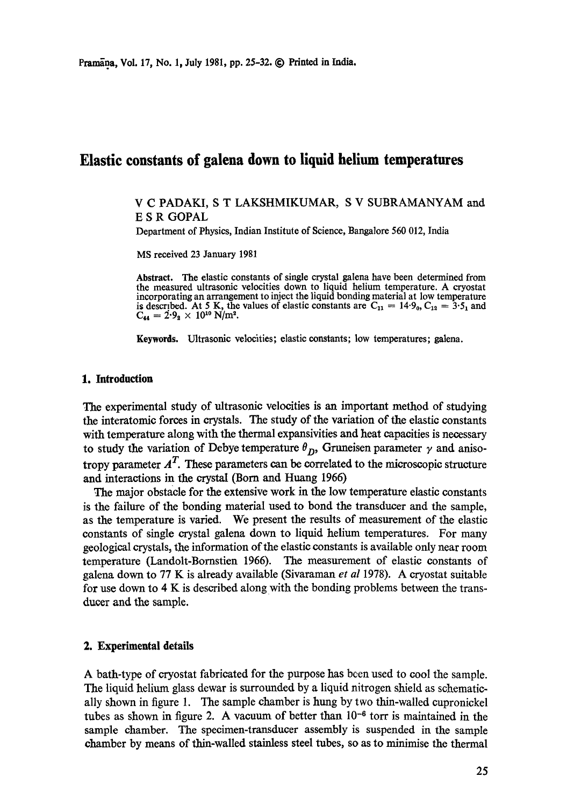# **Elastic constants of galena down to liquid helium temperatures**

# V C PADAKI, S T LAKSHMIKUMAR, S V SUBRAMANYAM and E S R GOPAL

Department of Physics, Indian Institute of Science, Bangalore 560 012, India

MS received 23 January 1981

**Abstract.** The elastic constants of single crystal galena have been determined from the measured ultrasonic velocities down to liquid helium temperature. A cryostat incorporating an arrangement to inject the liquid bonding material at low temperature is described. At 5 K, the values of elastic constants are  $C_{11} = 14.9_0$ ,  $C_{12} = 3.5_1$  and  $C_{44} = 2.9_2 \times 10^{10}$  N/m<sup>2</sup>.

**Keywords.** Ultrasonic velocities; elastic constants; low temperatures; galena.

#### **1. Introduction**

The experimental study of ultrasonic velocities is an important method of studying the interatomic forces in crystals. The study of the variation of the elastic constants with temperature along with the thermal expansivities and heat capacities is necessary to study the variation of Debye temperature  $\theta_{D}$ , Gruneisen parameter  $\gamma$  and anisotropy parameter  $A<sup>T</sup>$ . These parameters can be correlated to the microscopic structure and interactions in the crystal (Born and Huang 1966)

The major obstacle for the extensive work in the low temperature elastic constants is the failure of the bonding material used to bond the transducer and the sample, as the temperature is varied. We present the results of measurement of the elastic constants of single crystal galena down to liqmd helium temperatures. For many geological crystals, the information of the elastic constants is available only near room temperature (Landolt-Bornstien 1966). The measurement of elastic constants of galena down to 77 K is already available (Sivaraman *et al* 1978). A cryostat suitable for use down to 4 K is described along with the bonding problems between the transducer and the sample.

# **2. Experimental details**

A bath-type of cryostat fabricated for the purpose has been used to cool the sample. The liquid helium glass dewar is surrounded by a liquid nitrogen shield as schematically shown in figure 1. The sample chamber is hung by two thin-walled cupronickel tubes as shown in figure 2. A vacuum of better than  $10^{-6}$  torr is maintained in the sample chamber. The specimen-transducer assembly is suspended in the sample chamber by means of thin-walled stainless steel tubes, so as to minimise the thermal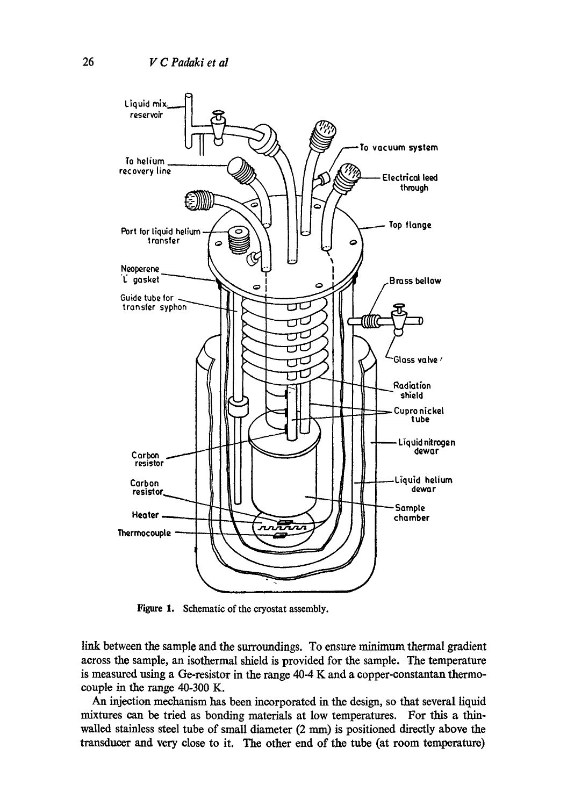

Figure 1. Schematic of the cryostat assembly.

link between the sample and the surroundings. To ensure minimum thermal gradient across the sample, an isothermal shield is provided for the sample. The temperature is measured using a Ge-resistor in the range 40-4 K and a copper-oonstantan thermocouple in the range 40-300 K.

An injection mechanism has been incorporated in the design, so that several liquid mixtures can be tried as bonding materials at low temperatures. For this a thinwalled stainless steel tube of small diameter (2 mm) is positioned directly above the transducer and very close to it. The other end of the tube (at room temperature)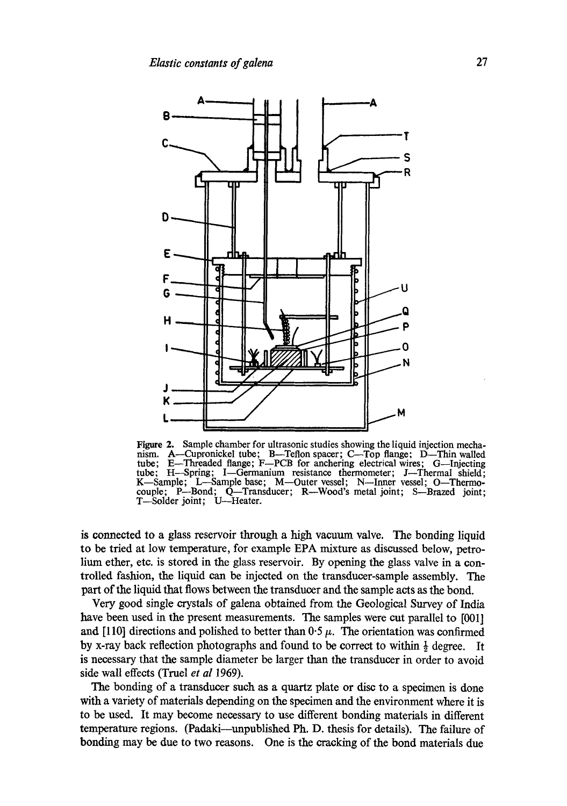

Figure 2. Sample chamber for ultrasonic studies showing the liquid injection mecha-<br>nism. A—Cupronickel tube: B—Teflon spacer: C—Top flange: D—Thin walled nism. A—Cupronickel tube; B—Teflon spacer; C—Top flange; D—Thin walled tube: E—Threaded flange; F—PCB for anchering electrical wires; G—Injecting E-Threaded flange; F-PCB for anchering electrical wires; G--Injecting tube; H-Spring; I-Germanium resistance thermometer; J-Thermal shield; K-Sample; L-Sample base; M-Outer vessel; N-Inner vessel; O-Thermocouple; P--Bond; Q--Transducer; R--Wood's metal joint; S--Brazed joint; T--Solder joint; U--Heater.

is connected to a glass reservoir through a high vacuum valve. The bonding liquid to be tried at low temperature, for example EPA mixture as discussed below, petrolium ether, etc. is stored in the glass reservoir. By opening the glass valve in a controlled fashion, the liquid can be injected on the transducer-sample assembly. The part of the liquid that flows between the transducer and the sample acts as the bond.

Very good single crystals of galena obtained from the Geological Survey of India have been used in the present measurements. The samples were cut parallel to [001] and [110] directions and polished to better than  $0.5 \mu$ . The orientation was confirmed by x-ray back reflection photographs and found to be correct to within  $\frac{1}{2}$  degree. It is necessary that the sample diameter be larger than the transducer in order to avoid side wall effects (Truel *et al* 1969).

The bonding of a transducer such as a quartz plate or disc to a specimen is done with a variety of materials depending on the specimen and the environment where it is to be used. It may become necessary to use different bonding materials in different temperature regions. (Padaki--unpublished Ph.D. thesis for details). The failure of bonding may be due to two reasons. One is the cracking of the bond materials due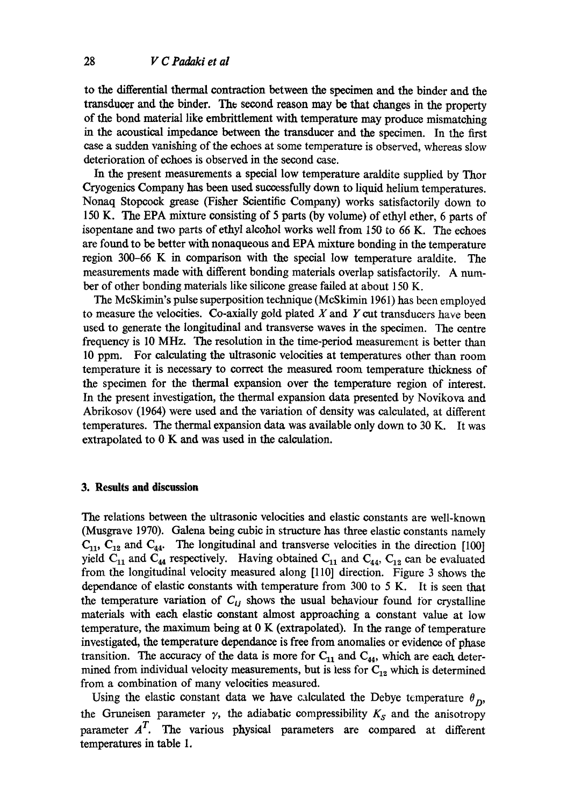to the differential thermal contraction between the specimen and the binder and the transducer and the binder. The second reason may be that changes in the property of the bond material like embrittlement with temperature may produce mismatching in the acoustical impedance between the transducer and the specimen. In the first case a sudden vanishing of the echoes at some temperature is observed, whereas slow deterioration of echoes is observed in the second case.

In the present measurements a special low temperature araldite supplied by Thor Cryogenics Company has been used successfully down to liquid helium temperatures. Nonaq Stopcock grease (Fisher Scientific Company) works satisfactorily down to 150 K. The EPA mixture consisting of 5 parts (by volume) of ethyl ether, 6 parts of isopentane and two parts of ethyl alcohol works well from 150 to 66 K. The echoes are found to be better with nonaqueous and EPA mixture bonding in the temperature region 300-66 K in comparison with the special low temperature araldite. The measurements made with different bonding materials overlap satisfactorily. A number of other bonding materials like silicone grease failed at about 150 K.

The McSkimin's pulse superposition technique (McSkimin 1961) has been employed to measure the velocities. Co-axially gold plated  $X$  and  $Y$  cut transducers have been used to generate the longitudinal and transverse waves in the specimen. The centre frequency is 10 MHz. The resolation in the time-period measurement is better than 10 ppm. For calculating the ultrasonic velocities at temperatures other than room temperature it is necessary to correct the measured room temperature thickness of the specimen for the thermal expansion over the temperature region of interest. In the present investigation, the thermal expansion data presented by Novikova and Abrikosov (1964) were used and the variation of density was calculated, at different temperatures. The thermal expansion data was available only down to 30 K. It was extrapolated to 0 K and was used in the calculation.

#### **3. Results and discussion**

The relations between the ultrasonic velocities and elastic constants are well-known (Musgrave 1970). Galena being cubic in structure has three elastic constants namely  $C_{11}$ ,  $C_{12}$  and  $C_{44}$ . The longitudinal and transverse velocities in the direction [100] yield  $C_{11}$  and  $C_{44}$  respectively. Having obtained  $C_{11}$  and  $C_{44}$ ,  $C_{12}$  can be evaluated from the longitudinal velocity measured along [110] direction. Figure 3 shows the dependance of elastic constants with temperature from 300 to 5 K. It is seen that the temperature variation of  $C_{ij}$  shows the usual behaviour found for crystalline materials with each elastic constant almost approaching a constant value at low temperature, the maximum being at 0 K (extrapolated). In the range of temperature investigated, the temperature dependance is free from anomalies or evidence of phase transition. The accuracy of the data is more for  $C_{11}$  and  $C_{44}$ , which are each determined from individual velocity measurements, but is less for  $C_{12}$  which is determined from a combination of many velocities measured.

Using the elastic constant data we have calculated the Debye temperature  $\theta_{D}$ , the Gruneisen parameter  $\gamma$ , the adiabatic compressibility  $K_S$  and the anisotropy parameter  $A<sup>T</sup>$ . The various physical parameters are compared at different temperatures in table 1.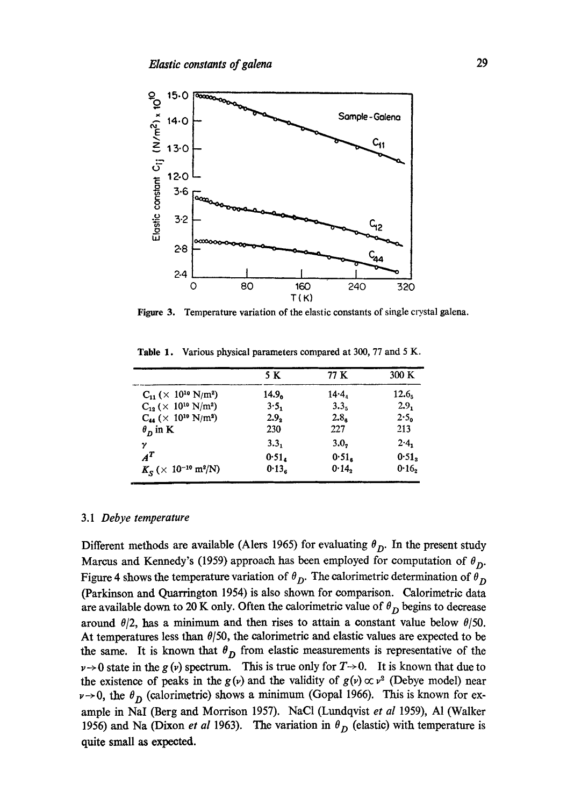

Figure 3. Temperature variation of the elastic constants of single crystal galena.

|                                                         | 5 K               | 77 K              | 300 K             |
|---------------------------------------------------------|-------------------|-------------------|-------------------|
| $C_{11}$ ( $\times$ 10 <sup>10</sup> N/m <sup>2</sup> ) | 14.9 <sub>0</sub> | $14 - 4$          | 12.6 <sub>5</sub> |
| $C_{12}$ ( $\times$ 10 <sup>10</sup> N/m <sup>2</sup> ) | 3.5.              | 3.3 <sub>5</sub>  | 2.9.              |
| $C_{44}$ ( $\times$ 10 <sup>10</sup> N/m <sup>2</sup> ) | 2.9 <sub>2</sub>  | 2.8 <sub>e</sub>  | 2.5 <sub>0</sub>  |
| $\theta_{\rm n}$ in K                                   | 230               | 227               | 213               |
| γ                                                       | 3.3 <sub>1</sub>  | 3.0,              | $2.4_1$           |
| $\boldsymbol{A}^T$                                      | 0.51.             | 0.51 <sub>a</sub> | 0.51              |
| $K_S$ (× 10 <sup>-10</sup> m <sup>2</sup> /N)           | 0.13 <sub>e</sub> | 0.14              | $0.16_2$          |

Table 1. Various physical parameters compared at 300, 77 and 5 K.

## 3.1 *Debye temperature*

Different methods are available (Alers 1965) for evaluating  $\theta_{D}$ . In the present study Marcus and Kennedy's (1959) approach has been employed for computation of  $\theta_{D}$ . Figure 4 shows the temperature variation of  $\theta_D$ . The calorimetric determination of  $\theta_D$ (Parkinson and Quarrington 1954) is also shown for comparison. Calorimetric data are available down to 20 K only. Often the calorimetric value of  $\theta_D$  begins to decrease around  $\theta/2$ , has a minimum and then rises to attain a constant value below  $\theta/50$ . At temperatures less than  $\theta/50$ , the calorimetric and elastic values are expected to be the same. It is known that  $\theta_D$  from elastic measurements is representative of the  $v \rightarrow 0$  state in the g(v) spectrum. This is true only for  $T \rightarrow 0$ . It is known that due to the existence of peaks in the  $g(v)$  and the validity of  $g(v) \propto v^2$  (Debye model) near  $\nu \rightarrow 0$ , the  $\theta_D$  (calorimetric) shows a minimum (Gopal 1966). This is known for example in NaI (Berg and Morrison 1957). NaC1 (Lundqvist *et al* 1959), A1 (Walker 1956) and Na (Dixon *et al* 1963). The variation in  $\theta_D$  (elastic) with temperature is quite small as expected.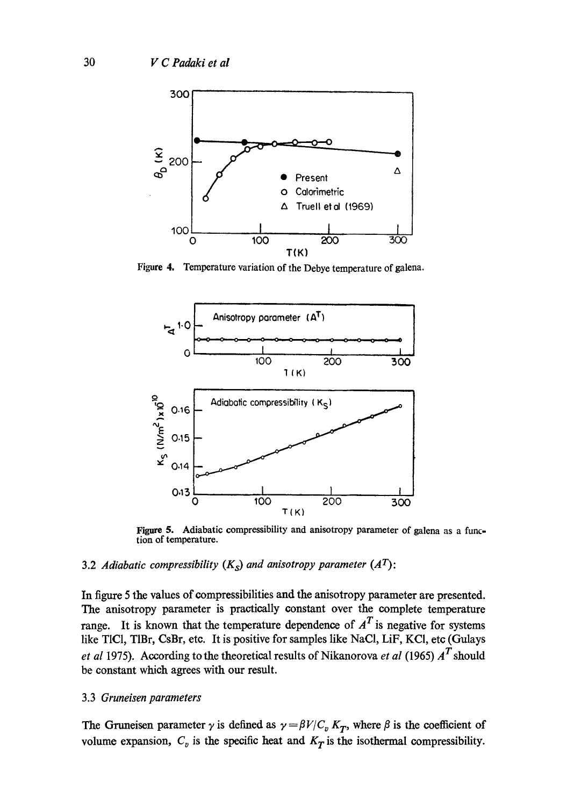

Figure 4. Temperature variation of the Debye temperature of galena.



Figure 5. Adiabatic compressibility and anisotropy parameter of galena as a function of temperature.

# 3.2 *Adiabatic compressibility*  $(K<sub>S</sub>)$  *and anisotropy parameter*  $(A<sup>T</sup>)$ :

In figure 5 the values of compressibilities and the anisotropy parameter are presented. The anisotropy parameter is practically constant over the complete temperature range. It is known that the temperature dependence of  $A<sup>T</sup>$  is negative for systems like TIC1, TIBr, CsBr, etc. It is positive for samples like NaCI, LiF, KCI, etc (Gulays *et al* 1975). According to the theoretical results of Nikanorova *et al* (1965)  $A<sup>T</sup>$  should be constant which agrees with our result.

### *3.3 Gruneisen parameters*

The Gruneisen parameter  $\gamma$  is defined as  $\gamma = \beta V/C_v K_T$ , where  $\beta$  is the coefficient of volume expansion,  $C_v$  is the specific heat and  $K_T$  is the isothermal compressibility.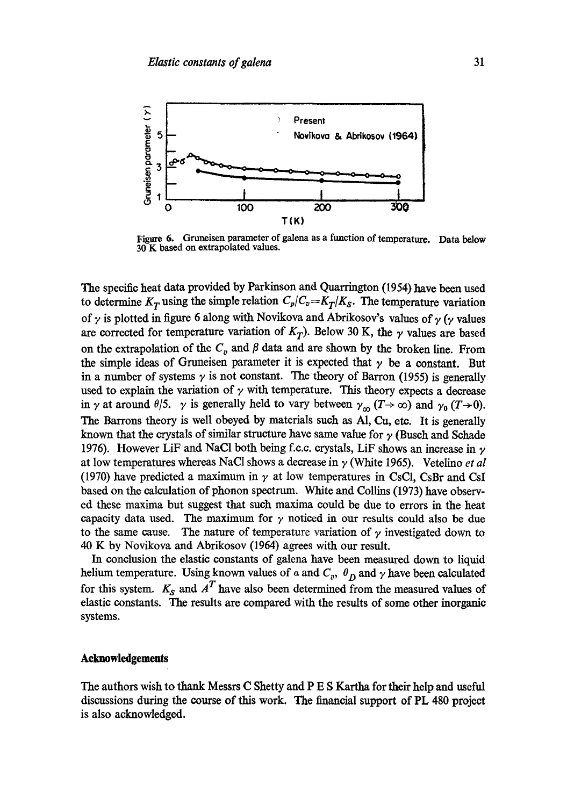

Figure 6. Gruneisen parameter of galena as a function of temperature. Data below 30 K based on extrapolated values.

The specific heat data provided by Parkinson and Quarrington (1954) have been used to determine  $K_T$  using the simple relation  $C_p/C_v = K_T/K_S$ . The temperature variation of  $\gamma$  is plotted in figure 6 along with Novikova and Abrikosov's values of  $\gamma$  ( $\gamma$  values are corrected for temperature variation of  $K_T$ ). Below 30 K, the  $\gamma$  values are based on the extrapolation of the  $C_v$  and  $\beta$  data and are shown by the broken line. From the simple ideas of Gruneisen parameter it is expected that  $\gamma$  be a constant. But in a number of systems  $\gamma$  is not constant. The theory of Barron (1955) is generally used to explain the variation of  $\gamma$  with temperature. This theory expects a decrease in  $\gamma$  at around  $\theta/5$ .  $\gamma$  is generally held to vary between  $\gamma_{\infty}$  ( $T\rightarrow\infty$ ) and  $\gamma_0$  ( $T\rightarrow 0$ ). The Barrons theory is well obeyed by materials such as Al, Cu, etc. It is generally known that the crystals of similar structure have same value for  $\gamma$  (Busch and Schade 1976). However LiF and NaCl both being f.c.c. crystals, LiF shows an increase in  $\gamma$ at low temperatures whereas NaCI shows a decrease in y (White 1965). Vetelino *et al*  (1970) have predicted a maximum in  $\gamma$  at low temperatures in CsCl, CsBr and CsI based on the calculation of phonon spectrum. White and Collins (1973) have observed these maxima but suggest that such maxima could be due to errors in the heat capacity data used. The maximum for  $\gamma$  noticed in our results could also be due to the same cause. The nature of temperature variation of  $\gamma$  investigated down to 40 K by Novikova and Abrikosov (1964) agrees with our result.

In conclusion the elastic constants of galena have been measured down to liquid helium temperature. Using known values of  $\alpha$  and  $C_v$ ,  $\theta_D$  and  $\gamma$  have been calculated for this system.  $K_S$  and  $A<sup>T</sup>$  have also been determined from the measured values of elastic constants. The results are compared with the results of some other inorganic systems.

## **Acknowledgements**

The authors wish to thank Messrs C Shetty and P E S Kartha for their help and useful discussions during the course of this work. The financial support of PL 480 project is also acknowledged.